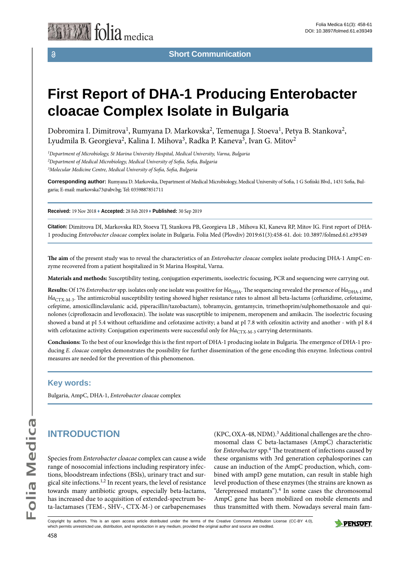# **First Report of DHA-1 Producing Enterobacter cloacae Complex Isolate in Bulgaria**

Dobromira I. Dimitrova<sup>1</sup>, Rumyana D. Markovska<sup>2</sup>, Temenuga J. Stoeva<sup>1</sup>, Petya B. Stankova<sup>2</sup>, Lyudmila B. Georgieva<sup>2</sup>, Kalina I. Mihova<sup>3</sup>, Radka P. Kaneva<sup>3</sup>, Ivan G. Mitov<sup>2</sup>

*1 Department of Microbiology, St Marina University Hospital, Medical University, Varna, Bulgaria*

*2 Department of Medical Microbiology, Medical University of Sofia, Sofia, Bulgaria*

*3 Molecular Medicine Centre, Medical University of Sofia, Sofia, Bulgaria*

**Corresponding author:** Rumyana D. Markovska, Department of Medical Microbiology, Medical University of Sofia, 1 G Sofiiski Blvd., 1431 Sofia, Bulgaria; E-mail: markovska73@abv.bg; Tel: 0359887851711

**Received:** 19 Nov 2018 ♦ **Accepted:** 28 Feb 2019 ♦ **Published:** 30 Sep 2019

**Citation:** Dimitrova DI, Markovska RD, Stoeva TJ, Stankova PB, Georgieva LB , Mihova KI, Kaneva RP, Mitov IG. First report of DHA-1 producing *Enterobacter cloacae* complex isolate in Bulgaria. Folia Med (Plovdiv) 2019:61(3):458-61. doi: 10.3897/folmed.61.e39349

**The aim** of the present study was to reveal the characteristics of an *Enterobacter cloacae* complex isolate producing DHA-1 AmpC enzyme recovered from a patient hospitalized in St Marina Hospital, Varna.

**Materials and methods:** Susceptibility testing, conjugation experiments, isoelectric focusing, PCR and sequencing were carrying out.

Results: Of 176 *Enterobacter* spp. isolates only one isolate was positive for *bla*<sub>DHA</sub>. The sequencing revealed the presence of *bla*<sub>DHA-1</sub> and *bla*<sub>CTX-M-3</sub>. The antimicrobial susceptibility testing showed higher resistance rates to almost all beta-lactams (ceftazidime, cefotaxime, cefepime, amoxicillinclavulanic acid, piperacillin/tazobactam), tobramycin, gentamycin, trimethoprim/sulphomethoxazole and quinolones (ciprofloxacin and levofloxacin). The isolate was susceptible to imipenem, meropenem and amikacin. The isoelectric focusing showed a band at pI 5.4 without ceftazidime and cefotaxime activity; a band at pI 7.8 with cefoxitin activity and another - with pI 8.4 with cefotaxime activity. Conjugation experiments were successful only for *bla*<sub>CTX-M-3</sub> carrying determinants.

**Conclusions:** To the best of our knowledge this is the first report of DHA-1 producing isolate in Bulgaria. The emergence of DHA-1 producing *E. cloacae* complex demonstrates the possibility for further dissemination of the gene encoding this enzyme. Infectious control measures are needed for the prevention of this phenomenon.

#### **Key words:**

Bulgaria, AmpC, DHA-1, *Enterobacter cloacae* complex

## **INTRODUCTION**

Species from *Enterobacter cloacae* complex can cause a wide range of nosocomial infections including respiratory infections, bloodstream infections (BSIs), urinary tract and surgical site infections.1,2 In recent years, the level of resistance towards many antibiotic groups, especially beta-lactams, has increased due to acquisition of extended-spectrum beta-lactamases (TEM-, SHV-, CTX-M-) or carbapenemases

 $(KPC, OXA-48, NDM).$ <sup>3</sup> Additional challenges are the chromosomal class C beta-lactamases (AmpC) characteristic for *Enterobacter* spp.4 The treatment of infections caused by these organisms with 3rd generation cephalosporines can cause an induction of the AmpC production, which, combined with ampD gene mutation, can result in stable high level production of these enzymes (the strains are known as "derepressed mutants").<sup>4</sup> In some cases the chromosomal AmpC gene has been mobilized on mobile elements and thus transmitted with them. Nowadays several main fam-

Copyright by authors*.* This is an open access article distributed under the terms of the Creative Commons Attribution License (CC-BY 4.0), which permits unrestricted use, distribution, and reproduction in any medium, provided the original author and source are credited.

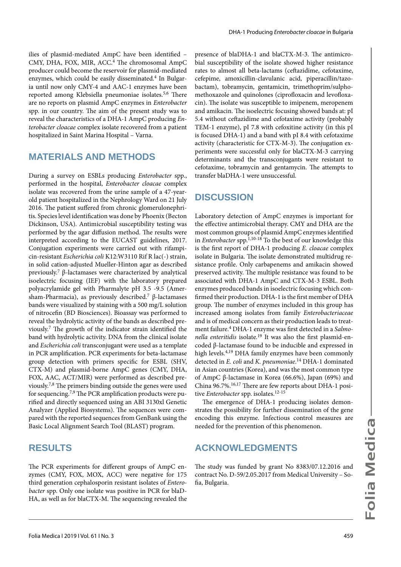ilies of plasmid-mediated AmpC have been identified – CMY, DHA, FOX, MIR, ACC.4 The chromosomal AmpC producer could become the reservoir for plasmid-mediated enzymes, which could be easily disseminated.4 In Bulgaria until now only CMY-4 and AAC-1 enzymes have been reported among Klebsiella pneumoniae isolates.<sup>5,6</sup> There are no reports on plasmid AmpC enzymes in *Enterobacter* spp. in our country. The aim of the present study was to reveal the characteristics of a DHA-1 AmpC producing *Enterobacter cloacae* complex isolate recovered from a patient hospitalized in Saint Marina Hospital – Varna.

#### **MATERIALS AND METHODS**

During a survey on ESBLs producing *Enterobacter* spp., performed in the hospital, *Enterobacter cloacae* complex isolate was recovered from the urine sample of a 47-yearold patient hospitalized in the Nephrology Ward on 21 July 2016. The patient suffered from chronic glomerulonephritis. Species level identification was done by Phoenix (Becton Dickinson, USA). Antimicrobial susceptibility testing was performed by the agar diffusion method. The results were interpreted according to the EUCAST guidelines, 2017. Conjugation experiments were carried out with rifampicin-resistant *Escherichia coli* K12:W3110 Rif R lac(-) strain, in solid cation-adjusted Mueller-Hinton agar as described previously.7 β-lactamases were characterized by analytical isoelectric focusing (IEF) with the laboratory prepared polyacrylamide gel with Pharmalyte pH 3.5 -9.5 (Amersham-Pharmacia), as previously described.7 β-lactamases bands were visualized by staining with a 500 mg/L solution of nitrocefin (BD Biosciences). Bioassay was performed to reveal the hydrolytic activity of the bands as described previously.7 The growth of the indicator strain identified the band with hydrolytic activity. DNA from the clinical isolate and *Escherichia coli* transconjugant were used as a template in PCR amplification. PCR experiments for beta-lactamase group detection with primers specific for ESBL (SHV, CTX-M) and plasmid-borne AmpC genes (CMY, DHA, FOX, AAC, ACT/MIR) were performed as described previously.7,8 The primers binding outside the genes were used for sequencing.7,9 The PCR amplification products were purified and directly sequenced using an ABI 3130xl Genetic Analyzer (Applied Biosystems). The sequences were compared with the reported sequences from GenBank using the Basic Local Alignment Search Tool (BLAST) program.

#### **RESULTS**

The PCR experiments for different groups of AmpC enzymes (CMY, FOX, MOX, ACC) were negative for 175 third generation cephalosporin resistant isolates of *Enterobacter* spp. Only one isolate was positive in PCR for blaD-HA, as well as for blaCTX-M. The sequencing revealed the presence of blaDHA-1 and blaCTX-M-3. The antimicrobial susceptibility of the isolate showed higher resistance rates to almost all beta-lactams (ceftazidime, cefotaxime, cefepime, amoxicillin-clavulanic acid, piperacillin/tazobactam), tobramycin, gentamicin, trimethoprim/sulphomethoxazole and quinolones (ciprofloxacin and levofloxacin). The isolate was susceptible to imipenem, meropenem and amikacin. The isoelectric focusing showed bands at: pI 5.4 without ceftazidime and cefotaxime activity (probably TEM-1 enzyme), pI 7.8 with cefoxitine activity (in this pI is focused DHA-1) and a band with pI 8.4 with cefotaxime activity (characteristic for CTX-M-3). The conjugation experiments were successful only for blaCTX-M-3 carrying determinants and the transconjugants were resistant to cefotaxime, tobramycin and gentamycin. The attempts to transfer blaDHA-1 were unsuccessful.

### **DISCUSSION**

Laboratory detection of AmpC enzymes is important for the effective antimicrobial therapy. CMY and DHA are the most common groups of plasmid AmpC enzymes identified in *Enterobacter* spp.1,10-18 To the best of our knowledge this is the first report of DHA-1 producing *E. cloacae* complex isolate in Bulgaria. The isolate demonstrated multidrug resistance profile. Only carbapenems and amikacin showed preserved activity. The multiple resistance was found to be associated with DHA-1 AmpC and CTX-M-3 ESBL. Both enzymes produced bands in isoelectric focusing which confirmed their production. DHA-1 is the first member of DHA group. The number of enzymes included in this group has increased among isolates from family *Enterobacteriaceae* and is of medical concern as their production leads to treatment failure.4 DHA-1 enzyme was first detected in a *Salmonella enteritidis* isolate.<sup>19</sup> It was also the first plasmid-encoded β-lactamase found to be inducible and expressed in high levels.<sup>4,19</sup> DHA family enzymes have been commonly detected in *E. coli* and *K. pneumoniae*. 14 DHA-1 dominated in Asian countries (Korea), and was the most common type of AmpC β-lactamase in Korea (66.6%), Japan (69%) and China 96.7%.16,17 There are few reports about DHA-1 positive *Enterobacter* spp. isolates.<sup>12-15</sup>

The emergence of DHA-1 producing isolates demonstrates the possibility for further dissemination of the gene encoding this enzyme. Infectious control measures are needed for the prevention of this phenomenon.

### **ACKNOWLEDGMENTS**

The study was funded by grant No 8383/07.12.2016 and contract No. D-59/2.05.2017 from Medical University – Sofia, Bulgaria.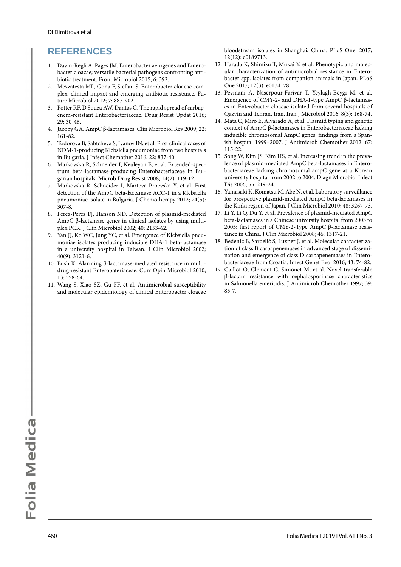### **REFERENCES**

- 1. Davin-Regli A, Pages JM. Enterobacter aerogenes and Enterobacter cloacae; versatile bacterial pathogens confronting antibiotic treatment. Front Microbiol 2015; 6: 392.
- 2. Mezzatesta ML, Gona F, Stefani S. Enterobacter cloacae complex: clinical impact and emerging antibiotic resistance. Future Microbiol 2012; 7: 887-902.
- 3. Potter RF, D'Souza AW, Dantas G. The rapid spread of carbapenem-resistant Enterobacteriaceae. Drug Resist Updat 2016; 29: 30-46.
- 4. Jacoby GA. AmpC β-lactamases. Clin Microbiol Rev 2009; 22: 161-82.
- 5. Todorova B, Sabtcheva S, Ivanov IN, et al. First clinical cases of NDM-1-producing Klebsiella pneumoniae from two hospitals in Bulgaria. J Infect Chemother 2016; 22: 837-40.
- 6. Markovska R, Schneider I, Keuleyan E, et al. Extended-spectrum beta-lactamase-producing Enterobacteriaceae in Bulgarian hospitals. Microb Drug Resist 2008; 14(2): 119-12.
- 7. Markovska R, Schneider I, Marteva-Proevska Y, et al. First detection of the AmpC beta-lactamase ACC-1 in a Klebsiella pneumoniae isolate in Bulgaria. J Chemotherapy 2012; 24(5): 307-8.
- 8. Pérez-Pérez FJ, Hanson ND. Detection of plasmid-mediated AmpC β-lactamase genes in clinical isolates by using multiplex PCR. J Clin Microbiol 2002; 40: 2153-62.
- 9. Yan JJ, Ko WC, Jung YC, et al. Emergence of Klebsiella pneumoniae isolates producing inducible DHA-1 beta-lactamase in a university hospital in Taiwan. J Clin Microbiol 2002; 40(9): 3121-6.
- 10. Bush K. Alarming β-lactamase-mediated resistance in multidrug-resistant Enterobateriaceae. Curr Opin Microbiol 2010; 13: 558-64.
- 11. Wang S, Xiao SZ, Gu FF, et al. Antimicrobial susceptibility and molecular epidemiology of clinical Enterobacter cloacae

bloodstream isolates in Shanghai, China. PLoS One. 2017; 12(12): e0189713.

- 12. Harada K, Shimizu T, Mukai Y, et al. Phenotypic and molecular characterization of antimicrobial resistance in Enterobacter spp. isolates from companion animals in Japan. PLoS One 2017; 12(3): e0174178.
- 13. Peymani A, Naserpour-Farivar T, Yeylagh-Beygi M, et al. Emergence of CMY-2- and DHA-1-type AmpC β-lactamases in Enterobacter cloacae isolated from several hospitals of Qazvin and Tehran, Iran. Iran J Microbiol 2016; 8(3): 168-74.
- 14. Mata C, Miró E, Alvarado A, et al. Plasmid typing and genetic context of AmpC β-lactamases in Enterobacteriaceae lacking inducible chromosomal AmpC genes: findings from a Spanish hospital 1999–2007. J Antimicrob Chemother 2012; 67: 115-22.
- 15. Song W, Kim JS, Kim HS, et al. Increasing trend in the prevalence of plasmid-mediated AmpC beta-lactamases in Enterobacteriaceae lacking chromosomal ampC gene at a Korean university hospital from 2002 to 2004. Diagn Microbiol Infect Dis 2006; 55: 219-24.
- 16. Yamasaki K, Komatsu M, Abe N, et al. Laboratory surveillance for prospective plasmid-mediated AmpC beta-lactamases in the Kinki region of Japan. J Clin Microbiol 2010; 48: 3267-73.
- 17. Li Y, Li Q, Du Y, et al. Prevalence of plasmid-mediated AmpC beta-lactamases in a Chinese university hospital from 2003 to 2005: first report of CMY-2-Type AmpC β-lactamase resistance in China. J Clin Microbiol 2008; 46: 1317-21.
- 18. Bedenić B, Sardelić S, Luxner J, et al. Molecular characterization of class B carbapenemases in advanced stage of dissemination and emergence of class D carbapenemases in Enterobacteriaceae from Croatia. Infect Genet Evol 2016; 43: 74-82.
- 19. Gaillot O, Clement C, Simonet M, et al. Novel transferable β-lactam resistance with cephalosporinase characteristics in Salmonella enteritidis. J Antimicrob Chemother 1997; 39: 85-7.